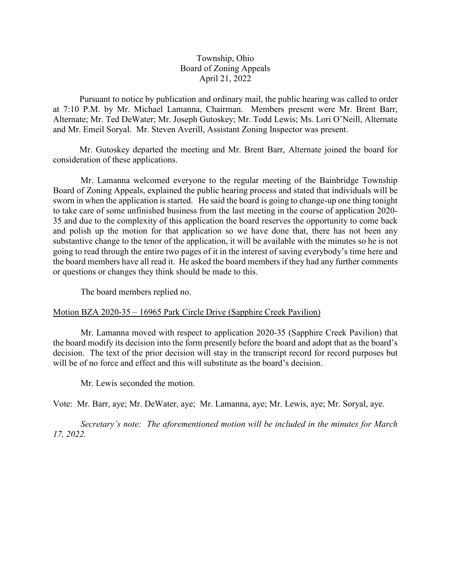## Township, Ohio Board of Zoning Appeals April 21, 2022

Pursuant to notice by publication and ordinary mail, the public hearing was called to order at 7:10 P.M. by Mr. Michael Lamanna, Chairman. Members present were Mr. Brent Barr, Alternate; Mr. Ted DeWater; Mr. Joseph Gutoskey; Mr. Todd Lewis; Ms. Lori O'Neill, Alternate and Mr. Emeil Soryal. Mr. Steven Averill, Assistant Zoning Inspector was present.

Mr. Gutoskey departed the meeting and Mr. Brent Barr, Alternate joined the board for consideration of these applications.

Mr. Lamanna welcomed everyone to the regular meeting of the Bainbridge Township Board of Zoning Appeals, explained the public hearing process and stated that individuals will be sworn in when the application is started. He said the board is going to change-up one thing tonight to take care of some unfinished business from the last meeting in the course of application 2020- 35 and due to the complexity of this application the board reserves the opportunity to come back and polish up the motion for that application so we have done that, there has not been any substantive change to the tenor of the application, it will be available with the minutes so he is not going to read through the entire two pages of it in the interest of saving everybody's time here and the board members have all read it. He asked the board members if they had any further comments or questions or changes they think should be made to this.

The board members replied no.

## Motion BZA 2020-35 – 16965 Park Circle Drive (Sapphire Creek Pavilion)

Mr. Lamanna moved with respect to application 2020-35 (Sapphire Creek Pavilion) that the board modify its decision into the form presently before the board and adopt that as the board's decision. The text of the prior decision will stay in the transcript record for record purposes but will be of no force and effect and this will substitute as the board's decision.

Mr. Lewis seconded the motion.

Vote: Mr. Barr, aye; Mr. DeWater, aye; Mr. Lamanna, aye; Mr. Lewis, aye; Mr. Soryal, aye.

*Secretary's note: The aforementioned motion will be included in the minutes for March 17, 2022.*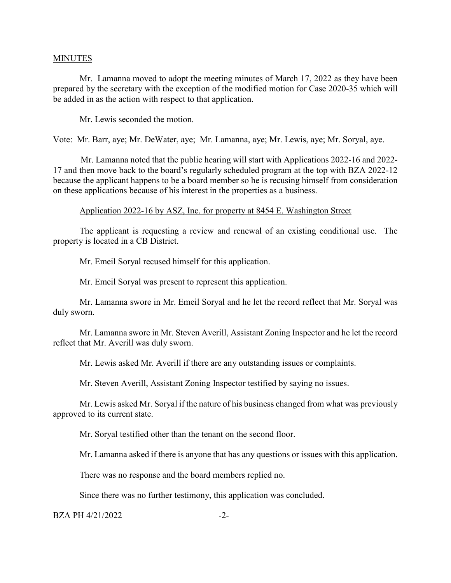#### **MINUTES**

Mr. Lamanna moved to adopt the meeting minutes of March 17, 2022 as they have been prepared by the secretary with the exception of the modified motion for Case 2020-35 which will be added in as the action with respect to that application.

Mr. Lewis seconded the motion.

Vote: Mr. Barr, aye; Mr. DeWater, aye; Mr. Lamanna, aye; Mr. Lewis, aye; Mr. Soryal, aye.

Mr. Lamanna noted that the public hearing will start with Applications 2022-16 and 2022- 17 and then move back to the board's regularly scheduled program at the top with BZA 2022-12 because the applicant happens to be a board member so he is recusing himself from consideration on these applications because of his interest in the properties as a business.

#### Application 2022-16 by ASZ, Inc. for property at 8454 E. Washington Street

The applicant is requesting a review and renewal of an existing conditional use. The property is located in a CB District.

Mr. Emeil Soryal recused himself for this application.

Mr. Emeil Soryal was present to represent this application.

Mr. Lamanna swore in Mr. Emeil Soryal and he let the record reflect that Mr. Soryal was duly sworn.

Mr. Lamanna swore in Mr. Steven Averill, Assistant Zoning Inspector and he let the record reflect that Mr. Averill was duly sworn.

Mr. Lewis asked Mr. Averill if there are any outstanding issues or complaints.

Mr. Steven Averill, Assistant Zoning Inspector testified by saying no issues.

Mr. Lewis asked Mr. Soryal if the nature of his business changed from what was previously approved to its current state.

Mr. Soryal testified other than the tenant on the second floor.

Mr. Lamanna asked if there is anyone that has any questions or issues with this application.

There was no response and the board members replied no.

Since there was no further testimony, this application was concluded.

 $BZA PH 4/21/2022$   $-2-$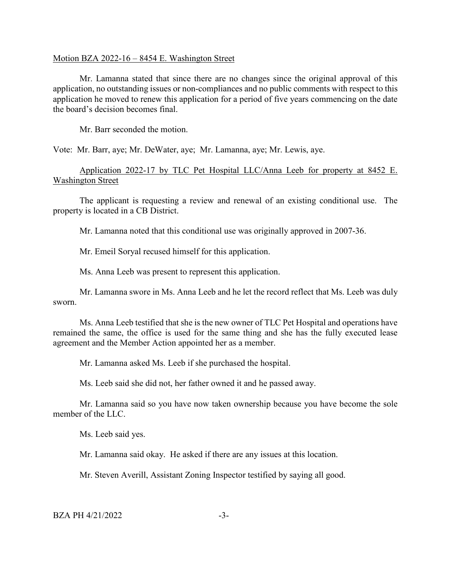#### Motion BZA 2022-16 – 8454 E. Washington Street

Mr. Lamanna stated that since there are no changes since the original approval of this application, no outstanding issues or non-compliances and no public comments with respect to this application he moved to renew this application for a period of five years commencing on the date the board's decision becomes final.

Mr. Barr seconded the motion.

Vote: Mr. Barr, aye; Mr. DeWater, aye; Mr. Lamanna, aye; Mr. Lewis, aye.

# Application 2022-17 by TLC Pet Hospital LLC/Anna Leeb for property at 8452 E. Washington Street

The applicant is requesting a review and renewal of an existing conditional use. The property is located in a CB District.

Mr. Lamanna noted that this conditional use was originally approved in 2007-36.

Mr. Emeil Soryal recused himself for this application.

Ms. Anna Leeb was present to represent this application.

Mr. Lamanna swore in Ms. Anna Leeb and he let the record reflect that Ms. Leeb was duly sworn.

Ms. Anna Leeb testified that she is the new owner of TLC Pet Hospital and operations have remained the same, the office is used for the same thing and she has the fully executed lease agreement and the Member Action appointed her as a member.

Mr. Lamanna asked Ms. Leeb if she purchased the hospital.

Ms. Leeb said she did not, her father owned it and he passed away.

Mr. Lamanna said so you have now taken ownership because you have become the sole member of the LLC.

Ms. Leeb said yes.

Mr. Lamanna said okay. He asked if there are any issues at this location.

Mr. Steven Averill, Assistant Zoning Inspector testified by saying all good.

 $BZA PH 4/21/2022$   $-3-$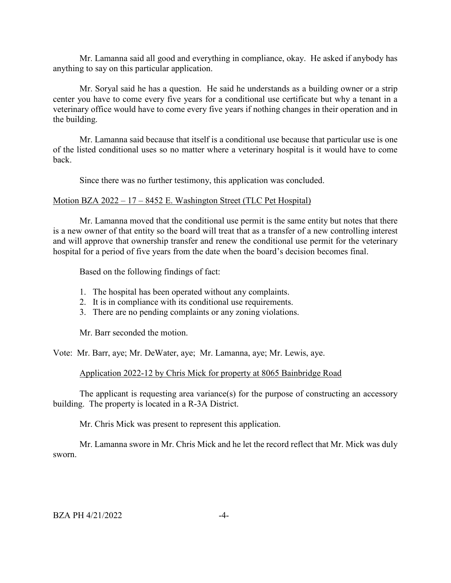Mr. Lamanna said all good and everything in compliance, okay. He asked if anybody has anything to say on this particular application.

Mr. Soryal said he has a question. He said he understands as a building owner or a strip center you have to come every five years for a conditional use certificate but why a tenant in a veterinary office would have to come every five years if nothing changes in their operation and in the building.

Mr. Lamanna said because that itself is a conditional use because that particular use is one of the listed conditional uses so no matter where a veterinary hospital is it would have to come back.

Since there was no further testimony, this application was concluded.

#### Motion BZA 2022 – 17 – 8452 E. Washington Street (TLC Pet Hospital)

Mr. Lamanna moved that the conditional use permit is the same entity but notes that there is a new owner of that entity so the board will treat that as a transfer of a new controlling interest and will approve that ownership transfer and renew the conditional use permit for the veterinary hospital for a period of five years from the date when the board's decision becomes final.

Based on the following findings of fact:

- 1. The hospital has been operated without any complaints.
- 2. It is in compliance with its conditional use requirements.
- 3. There are no pending complaints or any zoning violations.

Mr. Barr seconded the motion.

Vote: Mr. Barr, aye; Mr. DeWater, aye; Mr. Lamanna, aye; Mr. Lewis, aye.

#### Application 2022-12 by Chris Mick for property at 8065 Bainbridge Road

The applicant is requesting area variance(s) for the purpose of constructing an accessory building. The property is located in a R-3A District.

Mr. Chris Mick was present to represent this application.

Mr. Lamanna swore in Mr. Chris Mick and he let the record reflect that Mr. Mick was duly sworn.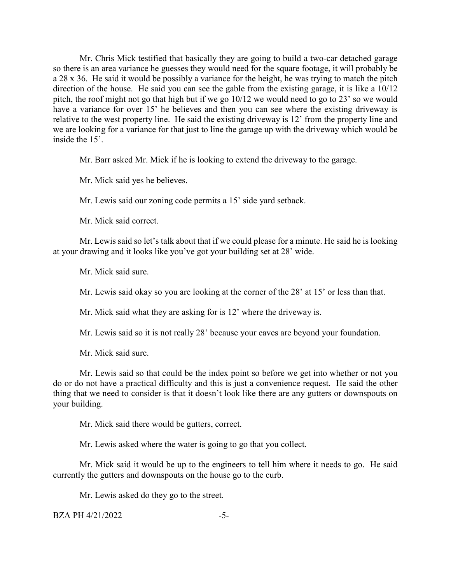Mr. Chris Mick testified that basically they are going to build a two-car detached garage so there is an area variance he guesses they would need for the square footage, it will probably be a 28 x 36. He said it would be possibly a variance for the height, he was trying to match the pitch direction of the house. He said you can see the gable from the existing garage, it is like a 10/12 pitch, the roof might not go that high but if we go 10/12 we would need to go to 23' so we would have a variance for over 15' he believes and then you can see where the existing driveway is relative to the west property line. He said the existing driveway is 12' from the property line and we are looking for a variance for that just to line the garage up with the driveway which would be inside the 15'.

Mr. Barr asked Mr. Mick if he is looking to extend the driveway to the garage.

Mr. Mick said yes he believes.

Mr. Lewis said our zoning code permits a 15' side yard setback.

Mr. Mick said correct.

Mr. Lewis said so let's talk about that if we could please for a minute. He said he is looking at your drawing and it looks like you've got your building set at 28' wide.

Mr. Mick said sure.

Mr. Lewis said okay so you are looking at the corner of the 28' at 15' or less than that.

Mr. Mick said what they are asking for is 12' where the driveway is.

Mr. Lewis said so it is not really 28' because your eaves are beyond your foundation.

Mr. Mick said sure.

Mr. Lewis said so that could be the index point so before we get into whether or not you do or do not have a practical difficulty and this is just a convenience request. He said the other thing that we need to consider is that it doesn't look like there are any gutters or downspouts on your building.

Mr. Mick said there would be gutters, correct.

Mr. Lewis asked where the water is going to go that you collect.

Mr. Mick said it would be up to the engineers to tell him where it needs to go. He said currently the gutters and downspouts on the house go to the curb.

Mr. Lewis asked do they go to the street.

 $BZA PH 4/21/2022$   $-5-$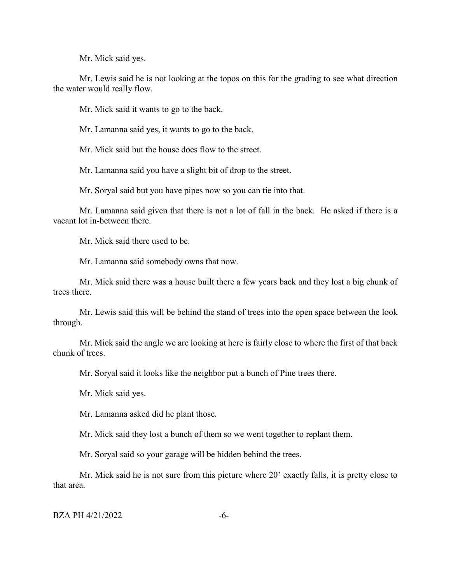Mr. Mick said yes.

Mr. Lewis said he is not looking at the topos on this for the grading to see what direction the water would really flow.

Mr. Mick said it wants to go to the back.

Mr. Lamanna said yes, it wants to go to the back.

Mr. Mick said but the house does flow to the street.

Mr. Lamanna said you have a slight bit of drop to the street.

Mr. Soryal said but you have pipes now so you can tie into that.

Mr. Lamanna said given that there is not a lot of fall in the back. He asked if there is a vacant lot in-between there.

Mr. Mick said there used to be.

Mr. Lamanna said somebody owns that now.

Mr. Mick said there was a house built there a few years back and they lost a big chunk of trees there.

Mr. Lewis said this will be behind the stand of trees into the open space between the look through.

Mr. Mick said the angle we are looking at here is fairly close to where the first of that back chunk of trees.

Mr. Soryal said it looks like the neighbor put a bunch of Pine trees there.

Mr. Mick said yes.

Mr. Lamanna asked did he plant those.

Mr. Mick said they lost a bunch of them so we went together to replant them.

Mr. Soryal said so your garage will be hidden behind the trees.

Mr. Mick said he is not sure from this picture where 20' exactly falls, it is pretty close to that area.

 $BZA PH 4/21/2022$   $-6-$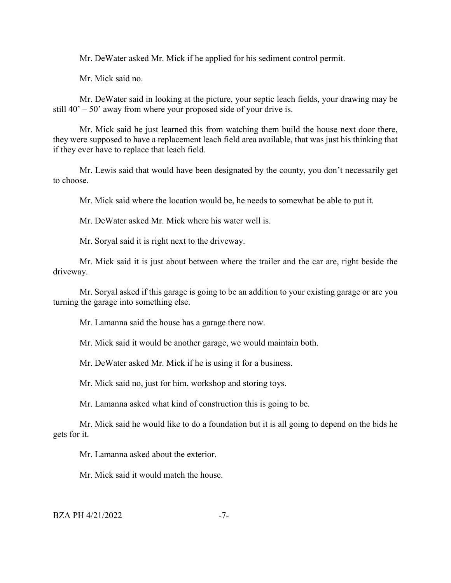Mr. DeWater asked Mr. Mick if he applied for his sediment control permit.

Mr. Mick said no.

Mr. DeWater said in looking at the picture, your septic leach fields, your drawing may be still  $40' - 50'$  away from where your proposed side of your drive is.

Mr. Mick said he just learned this from watching them build the house next door there, they were supposed to have a replacement leach field area available, that was just his thinking that if they ever have to replace that leach field.

Mr. Lewis said that would have been designated by the county, you don't necessarily get to choose.

Mr. Mick said where the location would be, he needs to somewhat be able to put it.

Mr. DeWater asked Mr. Mick where his water well is.

Mr. Soryal said it is right next to the driveway.

Mr. Mick said it is just about between where the trailer and the car are, right beside the driveway.

Mr. Soryal asked if this garage is going to be an addition to your existing garage or are you turning the garage into something else.

Mr. Lamanna said the house has a garage there now.

Mr. Mick said it would be another garage, we would maintain both.

Mr. DeWater asked Mr. Mick if he is using it for a business.

Mr. Mick said no, just for him, workshop and storing toys.

Mr. Lamanna asked what kind of construction this is going to be.

Mr. Mick said he would like to do a foundation but it is all going to depend on the bids he gets for it.

Mr. Lamanna asked about the exterior.

Mr. Mick said it would match the house.

 $BZA PH 4/21/2022$   $-7-$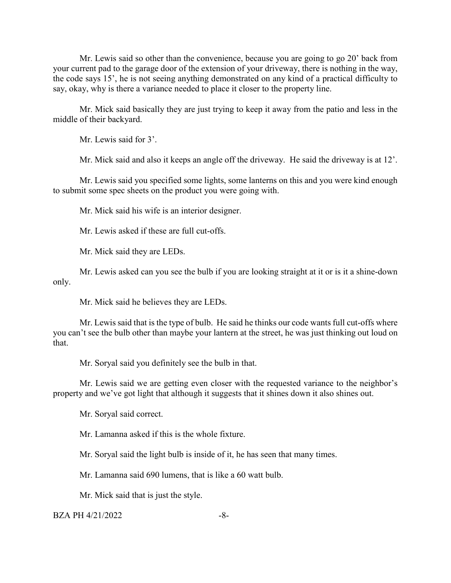Mr. Lewis said so other than the convenience, because you are going to go 20' back from your current pad to the garage door of the extension of your driveway, there is nothing in the way, the code says 15', he is not seeing anything demonstrated on any kind of a practical difficulty to say, okay, why is there a variance needed to place it closer to the property line.

Mr. Mick said basically they are just trying to keep it away from the patio and less in the middle of their backyard.

Mr. Lewis said for 3'.

Mr. Mick said and also it keeps an angle off the driveway. He said the driveway is at 12'.

Mr. Lewis said you specified some lights, some lanterns on this and you were kind enough to submit some spec sheets on the product you were going with.

Mr. Mick said his wife is an interior designer.

Mr. Lewis asked if these are full cut-offs.

Mr. Mick said they are LEDs.

Mr. Lewis asked can you see the bulb if you are looking straight at it or is it a shine-down only.

Mr. Mick said he believes they are LEDs.

Mr. Lewis said that is the type of bulb. He said he thinks our code wants full cut-offs where you can't see the bulb other than maybe your lantern at the street, he was just thinking out loud on that.

Mr. Soryal said you definitely see the bulb in that.

Mr. Lewis said we are getting even closer with the requested variance to the neighbor's property and we've got light that although it suggests that it shines down it also shines out.

Mr. Soryal said correct.

Mr. Lamanna asked if this is the whole fixture.

Mr. Soryal said the light bulb is inside of it, he has seen that many times.

Mr. Lamanna said 690 lumens, that is like a 60 watt bulb.

Mr. Mick said that is just the style.

 $BZA PH 4/21/2022$   $-8-$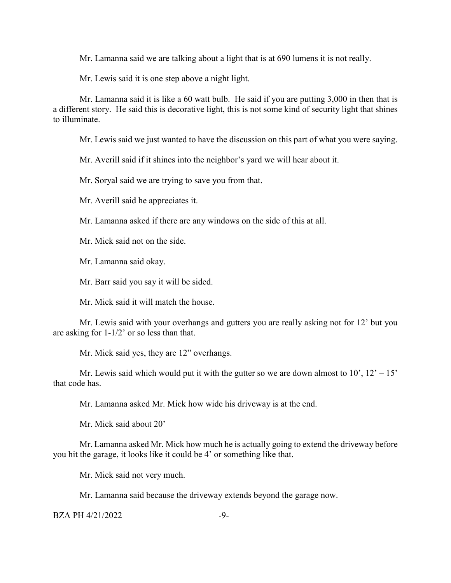Mr. Lamanna said we are talking about a light that is at 690 lumens it is not really.

Mr. Lewis said it is one step above a night light.

Mr. Lamanna said it is like a 60 watt bulb. He said if you are putting 3,000 in then that is a different story. He said this is decorative light, this is not some kind of security light that shines to illuminate.

Mr. Lewis said we just wanted to have the discussion on this part of what you were saying.

Mr. Averill said if it shines into the neighbor's yard we will hear about it.

Mr. Soryal said we are trying to save you from that.

Mr. Averill said he appreciates it.

Mr. Lamanna asked if there are any windows on the side of this at all.

Mr. Mick said not on the side.

Mr. Lamanna said okay.

Mr. Barr said you say it will be sided.

Mr. Mick said it will match the house.

Mr. Lewis said with your overhangs and gutters you are really asking not for 12' but you are asking for 1-1/2' or so less than that.

Mr. Mick said yes, they are 12" overhangs.

Mr. Lewis said which would put it with the gutter so we are down almost to  $10'$ ,  $12' - 15'$ that code has.

Mr. Lamanna asked Mr. Mick how wide his driveway is at the end.

Mr. Mick said about 20'

Mr. Lamanna asked Mr. Mick how much he is actually going to extend the driveway before you hit the garage, it looks like it could be 4' or something like that.

Mr. Mick said not very much.

Mr. Lamanna said because the driveway extends beyond the garage now.

 $BZA PH 4/21/2022$   $-9-$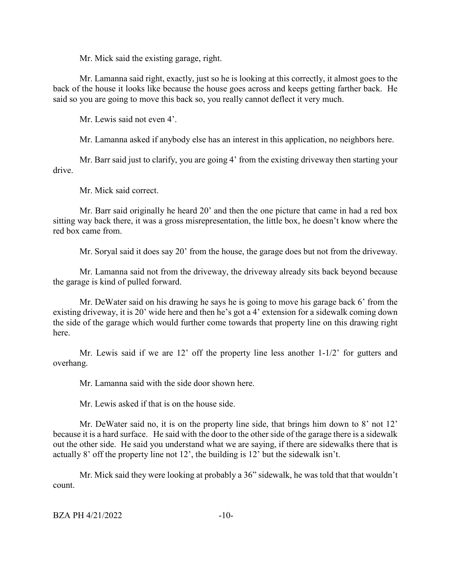Mr. Mick said the existing garage, right.

Mr. Lamanna said right, exactly, just so he is looking at this correctly, it almost goes to the back of the house it looks like because the house goes across and keeps getting farther back. He said so you are going to move this back so, you really cannot deflect it very much.

Mr. Lewis said not even 4'.

Mr. Lamanna asked if anybody else has an interest in this application, no neighbors here.

Mr. Barr said just to clarify, you are going 4' from the existing driveway then starting your drive.

Mr. Mick said correct.

Mr. Barr said originally he heard 20' and then the one picture that came in had a red box sitting way back there, it was a gross misrepresentation, the little box, he doesn't know where the red box came from.

Mr. Soryal said it does say 20' from the house, the garage does but not from the driveway.

Mr. Lamanna said not from the driveway, the driveway already sits back beyond because the garage is kind of pulled forward.

Mr. DeWater said on his drawing he says he is going to move his garage back 6' from the existing driveway, it is 20' wide here and then he's got a 4' extension for a sidewalk coming down the side of the garage which would further come towards that property line on this drawing right here.

Mr. Lewis said if we are 12' off the property line less another 1-1/2' for gutters and overhang.

Mr. Lamanna said with the side door shown here.

Mr. Lewis asked if that is on the house side.

Mr. DeWater said no, it is on the property line side, that brings him down to 8' not 12' because it is a hard surface. He said with the door to the other side of the garage there is a sidewalk out the other side. He said you understand what we are saying, if there are sidewalks there that is actually 8' off the property line not 12', the building is 12' but the sidewalk isn't.

Mr. Mick said they were looking at probably a 36" sidewalk, he was told that that wouldn't count.

```
BZA PH 4/21/2022 -10-
```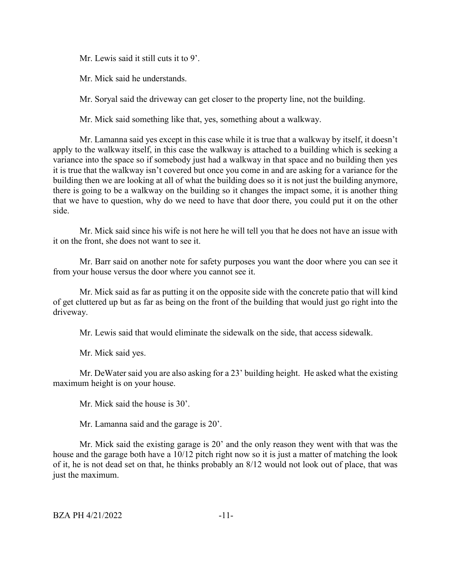Mr. Lewis said it still cuts it to 9'.

Mr. Mick said he understands.

Mr. Soryal said the driveway can get closer to the property line, not the building.

Mr. Mick said something like that, yes, something about a walkway.

Mr. Lamanna said yes except in this case while it is true that a walkway by itself, it doesn't apply to the walkway itself, in this case the walkway is attached to a building which is seeking a variance into the space so if somebody just had a walkway in that space and no building then yes it is true that the walkway isn't covered but once you come in and are asking for a variance for the building then we are looking at all of what the building does so it is not just the building anymore, there is going to be a walkway on the building so it changes the impact some, it is another thing that we have to question, why do we need to have that door there, you could put it on the other side.

Mr. Mick said since his wife is not here he will tell you that he does not have an issue with it on the front, she does not want to see it.

Mr. Barr said on another note for safety purposes you want the door where you can see it from your house versus the door where you cannot see it.

Mr. Mick said as far as putting it on the opposite side with the concrete patio that will kind of get cluttered up but as far as being on the front of the building that would just go right into the driveway.

Mr. Lewis said that would eliminate the sidewalk on the side, that access sidewalk.

Mr. Mick said yes.

Mr. DeWater said you are also asking for a 23' building height. He asked what the existing maximum height is on your house.

Mr. Mick said the house is 30'.

Mr. Lamanna said and the garage is 20'.

Mr. Mick said the existing garage is 20' and the only reason they went with that was the house and the garage both have a 10/12 pitch right now so it is just a matter of matching the look of it, he is not dead set on that, he thinks probably an 8/12 would not look out of place, that was just the maximum.

BZA PH 4/21/2022 -11-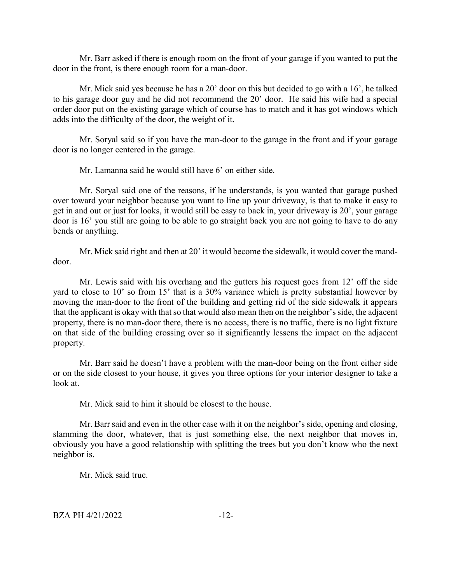Mr. Barr asked if there is enough room on the front of your garage if you wanted to put the door in the front, is there enough room for a man-door.

Mr. Mick said yes because he has a 20' door on this but decided to go with a 16', he talked to his garage door guy and he did not recommend the 20' door. He said his wife had a special order door put on the existing garage which of course has to match and it has got windows which adds into the difficulty of the door, the weight of it.

Mr. Soryal said so if you have the man-door to the garage in the front and if your garage door is no longer centered in the garage.

Mr. Lamanna said he would still have 6' on either side.

Mr. Soryal said one of the reasons, if he understands, is you wanted that garage pushed over toward your neighbor because you want to line up your driveway, is that to make it easy to get in and out or just for looks, it would still be easy to back in, your driveway is 20', your garage door is 16' you still are going to be able to go straight back you are not going to have to do any bends or anything.

Mr. Mick said right and then at 20' it would become the sidewalk, it would cover the manddoor.

Mr. Lewis said with his overhang and the gutters his request goes from 12' off the side yard to close to 10' so from 15' that is a 30% variance which is pretty substantial however by moving the man-door to the front of the building and getting rid of the side sidewalk it appears that the applicant is okay with that so that would also mean then on the neighbor's side, the adjacent property, there is no man-door there, there is no access, there is no traffic, there is no light fixture on that side of the building crossing over so it significantly lessens the impact on the adjacent property.

Mr. Barr said he doesn't have a problem with the man-door being on the front either side or on the side closest to your house, it gives you three options for your interior designer to take a look at.

Mr. Mick said to him it should be closest to the house.

Mr. Barr said and even in the other case with it on the neighbor's side, opening and closing, slamming the door, whatever, that is just something else, the next neighbor that moves in, obviously you have a good relationship with splitting the trees but you don't know who the next neighbor is.

Mr. Mick said true.

 $BZA PH 4/21/2022$   $-12-$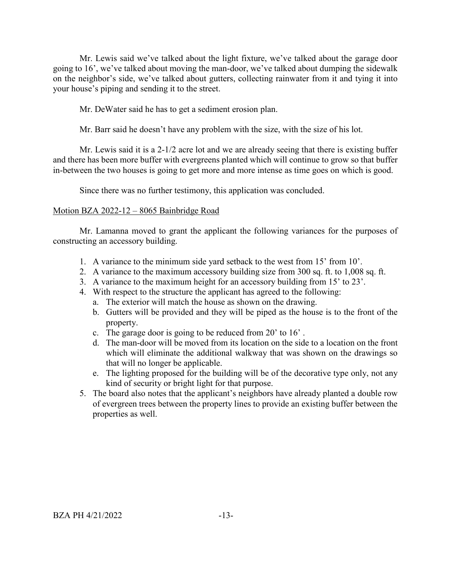Mr. Lewis said we've talked about the light fixture, we've talked about the garage door going to 16', we've talked about moving the man-door, we've talked about dumping the sidewalk on the neighbor's side, we've talked about gutters, collecting rainwater from it and tying it into your house's piping and sending it to the street.

Mr. DeWater said he has to get a sediment erosion plan.

Mr. Barr said he doesn't have any problem with the size, with the size of his lot.

Mr. Lewis said it is a 2-1/2 acre lot and we are already seeing that there is existing buffer and there has been more buffer with evergreens planted which will continue to grow so that buffer in-between the two houses is going to get more and more intense as time goes on which is good.

Since there was no further testimony, this application was concluded.

#### Motion BZA 2022-12 – 8065 Bainbridge Road

Mr. Lamanna moved to grant the applicant the following variances for the purposes of constructing an accessory building.

- 1. A variance to the minimum side yard setback to the west from 15' from 10'.
- 2. A variance to the maximum accessory building size from 300 sq. ft. to 1,008 sq. ft.
- 3. A variance to the maximum height for an accessory building from 15' to 23'.
- 4. With respect to the structure the applicant has agreed to the following:
	- a. The exterior will match the house as shown on the drawing.
	- b. Gutters will be provided and they will be piped as the house is to the front of the property.
	- c. The garage door is going to be reduced from 20' to 16' .
	- d. The man-door will be moved from its location on the side to a location on the front which will eliminate the additional walkway that was shown on the drawings so that will no longer be applicable.
	- e. The lighting proposed for the building will be of the decorative type only, not any kind of security or bright light for that purpose.
- 5. The board also notes that the applicant's neighbors have already planted a double row of evergreen trees between the property lines to provide an existing buffer between the properties as well.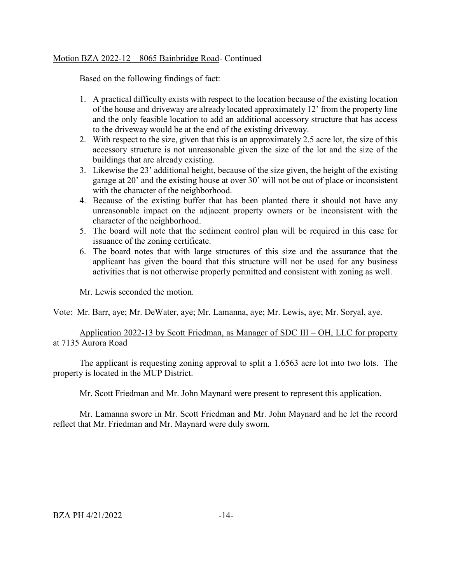## Motion BZA 2022-12 – 8065 Bainbridge Road- Continued

Based on the following findings of fact:

- 1. A practical difficulty exists with respect to the location because of the existing location of the house and driveway are already located approximately 12' from the property line and the only feasible location to add an additional accessory structure that has access to the driveway would be at the end of the existing driveway.
- 2. With respect to the size, given that this is an approximately 2.5 acre lot, the size of this accessory structure is not unreasonable given the size of the lot and the size of the buildings that are already existing.
- 3. Likewise the 23' additional height, because of the size given, the height of the existing garage at 20' and the existing house at over 30' will not be out of place or inconsistent with the character of the neighborhood.
- 4. Because of the existing buffer that has been planted there it should not have any unreasonable impact on the adjacent property owners or be inconsistent with the character of the neighborhood.
- 5. The board will note that the sediment control plan will be required in this case for issuance of the zoning certificate.
- 6. The board notes that with large structures of this size and the assurance that the applicant has given the board that this structure will not be used for any business activities that is not otherwise properly permitted and consistent with zoning as well.

Mr. Lewis seconded the motion.

Vote: Mr. Barr, aye; Mr. DeWater, aye; Mr. Lamanna, aye; Mr. Lewis, aye; Mr. Soryal, aye.

# Application 2022-13 by Scott Friedman, as Manager of SDC III – OH, LLC for property at 7135 Aurora Road

The applicant is requesting zoning approval to split a 1.6563 acre lot into two lots. The property is located in the MUP District.

Mr. Scott Friedman and Mr. John Maynard were present to represent this application.

Mr. Lamanna swore in Mr. Scott Friedman and Mr. John Maynard and he let the record reflect that Mr. Friedman and Mr. Maynard were duly sworn.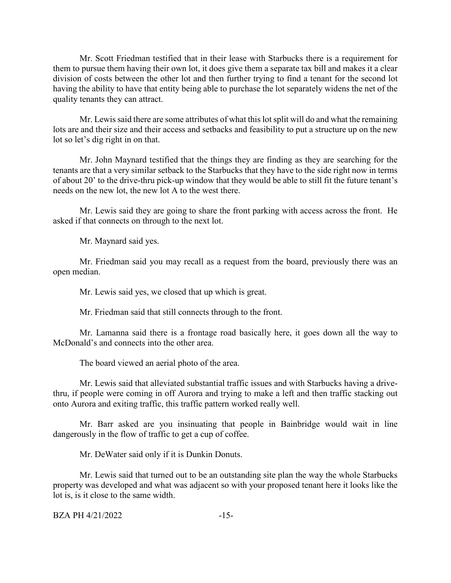Mr. Scott Friedman testified that in their lease with Starbucks there is a requirement for them to pursue them having their own lot, it does give them a separate tax bill and makes it a clear division of costs between the other lot and then further trying to find a tenant for the second lot having the ability to have that entity being able to purchase the lot separately widens the net of the quality tenants they can attract.

Mr. Lewis said there are some attributes of what this lot split will do and what the remaining lots are and their size and their access and setbacks and feasibility to put a structure up on the new lot so let's dig right in on that.

Mr. John Maynard testified that the things they are finding as they are searching for the tenants are that a very similar setback to the Starbucks that they have to the side right now in terms of about 20' to the drive-thru pick-up window that they would be able to still fit the future tenant's needs on the new lot, the new lot A to the west there.

Mr. Lewis said they are going to share the front parking with access across the front. He asked if that connects on through to the next lot.

Mr. Maynard said yes.

Mr. Friedman said you may recall as a request from the board, previously there was an open median.

Mr. Lewis said yes, we closed that up which is great.

Mr. Friedman said that still connects through to the front.

Mr. Lamanna said there is a frontage road basically here, it goes down all the way to McDonald's and connects into the other area.

The board viewed an aerial photo of the area.

Mr. Lewis said that alleviated substantial traffic issues and with Starbucks having a drivethru, if people were coming in off Aurora and trying to make a left and then traffic stacking out onto Aurora and exiting traffic, this traffic pattern worked really well.

Mr. Barr asked are you insinuating that people in Bainbridge would wait in line dangerously in the flow of traffic to get a cup of coffee.

Mr. DeWater said only if it is Dunkin Donuts.

Mr. Lewis said that turned out to be an outstanding site plan the way the whole Starbucks property was developed and what was adjacent so with your proposed tenant here it looks like the lot is, is it close to the same width.

 $BZA PH 4/21/2022$  -15-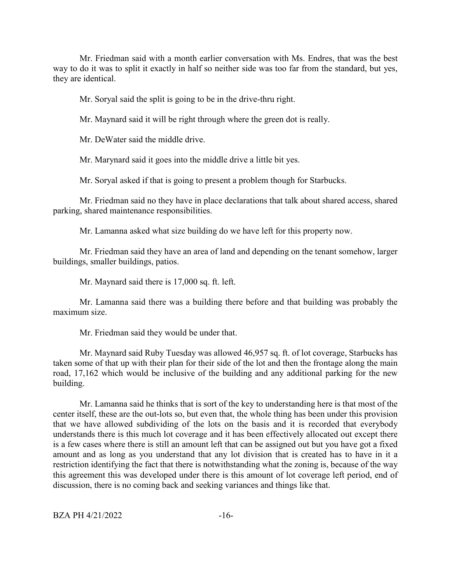Mr. Friedman said with a month earlier conversation with Ms. Endres, that was the best way to do it was to split it exactly in half so neither side was too far from the standard, but yes, they are identical.

Mr. Soryal said the split is going to be in the drive-thru right.

Mr. Maynard said it will be right through where the green dot is really.

Mr. DeWater said the middle drive.

Mr. Marynard said it goes into the middle drive a little bit yes.

Mr. Soryal asked if that is going to present a problem though for Starbucks.

Mr. Friedman said no they have in place declarations that talk about shared access, shared parking, shared maintenance responsibilities.

Mr. Lamanna asked what size building do we have left for this property now.

Mr. Friedman said they have an area of land and depending on the tenant somehow, larger buildings, smaller buildings, patios.

Mr. Maynard said there is 17,000 sq. ft. left.

Mr. Lamanna said there was a building there before and that building was probably the maximum size.

Mr. Friedman said they would be under that.

Mr. Maynard said Ruby Tuesday was allowed 46,957 sq. ft. of lot coverage, Starbucks has taken some of that up with their plan for their side of the lot and then the frontage along the main road, 17,162 which would be inclusive of the building and any additional parking for the new building.

Mr. Lamanna said he thinks that is sort of the key to understanding here is that most of the center itself, these are the out-lots so, but even that, the whole thing has been under this provision that we have allowed subdividing of the lots on the basis and it is recorded that everybody understands there is this much lot coverage and it has been effectively allocated out except there is a few cases where there is still an amount left that can be assigned out but you have got a fixed amount and as long as you understand that any lot division that is created has to have in it a restriction identifying the fact that there is notwithstanding what the zoning is, because of the way this agreement this was developed under there is this amount of lot coverage left period, end of discussion, there is no coming back and seeking variances and things like that.

 $BZA PH 4/21/2022$  -16-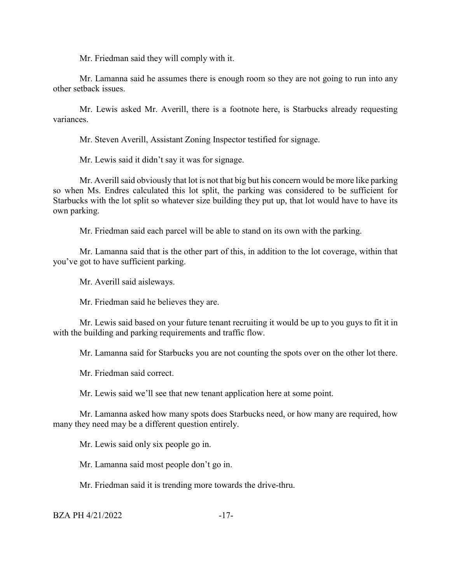Mr. Friedman said they will comply with it.

Mr. Lamanna said he assumes there is enough room so they are not going to run into any other setback issues.

Mr. Lewis asked Mr. Averill, there is a footnote here, is Starbucks already requesting variances.

Mr. Steven Averill, Assistant Zoning Inspector testified for signage.

Mr. Lewis said it didn't say it was for signage.

Mr. Averill said obviously that lot is not that big but his concern would be more like parking so when Ms. Endres calculated this lot split, the parking was considered to be sufficient for Starbucks with the lot split so whatever size building they put up, that lot would have to have its own parking.

Mr. Friedman said each parcel will be able to stand on its own with the parking.

Mr. Lamanna said that is the other part of this, in addition to the lot coverage, within that you've got to have sufficient parking.

Mr. Averill said aisleways.

Mr. Friedman said he believes they are.

Mr. Lewis said based on your future tenant recruiting it would be up to you guys to fit it in with the building and parking requirements and traffic flow.

Mr. Lamanna said for Starbucks you are not counting the spots over on the other lot there.

Mr. Friedman said correct.

Mr. Lewis said we'll see that new tenant application here at some point.

Mr. Lamanna asked how many spots does Starbucks need, or how many are required, how many they need may be a different question entirely.

Mr. Lewis said only six people go in.

Mr. Lamanna said most people don't go in.

Mr. Friedman said it is trending more towards the drive-thru.

 $BZA PH 4/21/2022$  -17-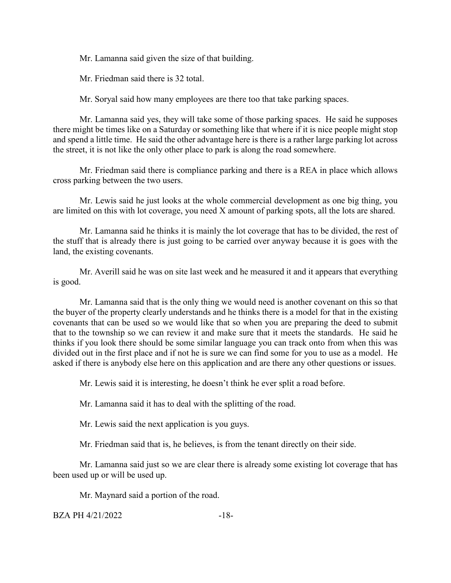Mr. Lamanna said given the size of that building.

Mr. Friedman said there is 32 total.

Mr. Soryal said how many employees are there too that take parking spaces.

Mr. Lamanna said yes, they will take some of those parking spaces. He said he supposes there might be times like on a Saturday or something like that where if it is nice people might stop and spend a little time. He said the other advantage here is there is a rather large parking lot across the street, it is not like the only other place to park is along the road somewhere.

Mr. Friedman said there is compliance parking and there is a REA in place which allows cross parking between the two users.

Mr. Lewis said he just looks at the whole commercial development as one big thing, you are limited on this with lot coverage, you need X amount of parking spots, all the lots are shared.

Mr. Lamanna said he thinks it is mainly the lot coverage that has to be divided, the rest of the stuff that is already there is just going to be carried over anyway because it is goes with the land, the existing covenants.

Mr. Averill said he was on site last week and he measured it and it appears that everything is good.

Mr. Lamanna said that is the only thing we would need is another covenant on this so that the buyer of the property clearly understands and he thinks there is a model for that in the existing covenants that can be used so we would like that so when you are preparing the deed to submit that to the township so we can review it and make sure that it meets the standards. He said he thinks if you look there should be some similar language you can track onto from when this was divided out in the first place and if not he is sure we can find some for you to use as a model. He asked if there is anybody else here on this application and are there any other questions or issues.

Mr. Lewis said it is interesting, he doesn't think he ever split a road before.

Mr. Lamanna said it has to deal with the splitting of the road.

Mr. Lewis said the next application is you guys.

Mr. Friedman said that is, he believes, is from the tenant directly on their side.

Mr. Lamanna said just so we are clear there is already some existing lot coverage that has been used up or will be used up.

Mr. Maynard said a portion of the road.

BZA PH 4/21/2022 -18-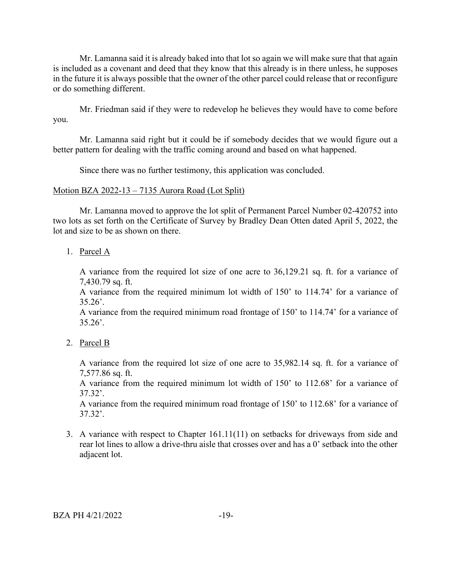Mr. Lamanna said it is already baked into that lot so again we will make sure that that again is included as a covenant and deed that they know that this already is in there unless, he supposes in the future it is always possible that the owner of the other parcel could release that or reconfigure or do something different.

Mr. Friedman said if they were to redevelop he believes they would have to come before you.

Mr. Lamanna said right but it could be if somebody decides that we would figure out a better pattern for dealing with the traffic coming around and based on what happened.

Since there was no further testimony, this application was concluded.

#### Motion BZA 2022-13 – 7135 Aurora Road (Lot Split)

Mr. Lamanna moved to approve the lot split of Permanent Parcel Number 02-420752 into two lots as set forth on the Certificate of Survey by Bradley Dean Otten dated April 5, 2022, the lot and size to be as shown on there.

1. Parcel A

A variance from the required lot size of one acre to 36,129.21 sq. ft. for a variance of 7,430.79 sq. ft.

A variance from the required minimum lot width of 150' to 114.74' for a variance of  $35.26'$ .

A variance from the required minimum road frontage of 150' to 114.74' for a variance of  $35.26'$ .

2. Parcel B

A variance from the required lot size of one acre to 35,982.14 sq. ft. for a variance of 7,577.86 sq. ft.

A variance from the required minimum lot width of 150' to 112.68' for a variance of 37.32'.

A variance from the required minimum road frontage of 150' to 112.68' for a variance of 37.32'.

3. A variance with respect to Chapter 161.11(11) on setbacks for driveways from side and rear lot lines to allow a drive-thru aisle that crosses over and has a 0' setback into the other adjacent lot.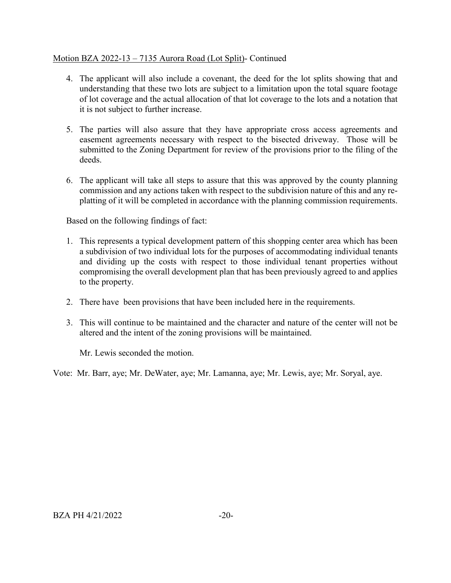# Motion BZA 2022-13 – 7135 Aurora Road (Lot Split)- Continued

- 4. The applicant will also include a covenant, the deed for the lot splits showing that and understanding that these two lots are subject to a limitation upon the total square footage of lot coverage and the actual allocation of that lot coverage to the lots and a notation that it is not subject to further increase.
- 5. The parties will also assure that they have appropriate cross access agreements and easement agreements necessary with respect to the bisected driveway. Those will be submitted to the Zoning Department for review of the provisions prior to the filing of the deeds.
- 6. The applicant will take all steps to assure that this was approved by the county planning commission and any actions taken with respect to the subdivision nature of this and any replatting of it will be completed in accordance with the planning commission requirements.

Based on the following findings of fact:

- 1. This represents a typical development pattern of this shopping center area which has been a subdivision of two individual lots for the purposes of accommodating individual tenants and dividing up the costs with respect to those individual tenant properties without compromising the overall development plan that has been previously agreed to and applies to the property.
- 2. There have been provisions that have been included here in the requirements.
- 3. This will continue to be maintained and the character and nature of the center will not be altered and the intent of the zoning provisions will be maintained.

Mr. Lewis seconded the motion.

Vote: Mr. Barr, aye; Mr. DeWater, aye; Mr. Lamanna, aye; Mr. Lewis, aye; Mr. Soryal, aye.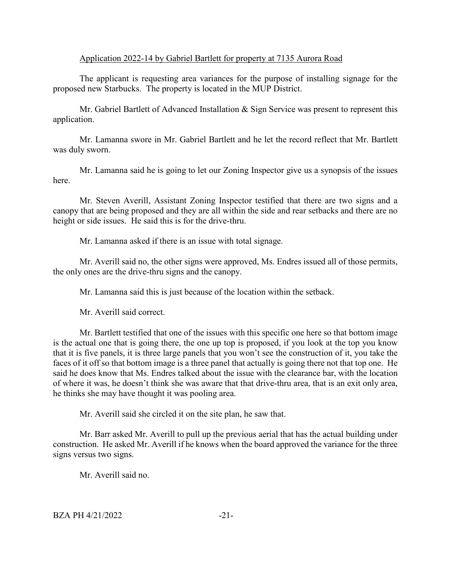#### Application 2022-14 by Gabriel Bartlett for property at 7135 Aurora Road

The applicant is requesting area variances for the purpose of installing signage for the proposed new Starbucks. The property is located in the MUP District.

Mr. Gabriel Bartlett of Advanced Installation & Sign Service was present to represent this application.

Mr. Lamanna swore in Mr. Gabriel Bartlett and he let the record reflect that Mr. Bartlett was duly sworn.

Mr. Lamanna said he is going to let our Zoning Inspector give us a synopsis of the issues here.

Mr. Steven Averill, Assistant Zoning Inspector testified that there are two signs and a canopy that are being proposed and they are all within the side and rear setbacks and there are no height or side issues. He said this is for the drive-thru.

Mr. Lamanna asked if there is an issue with total signage.

Mr. Averill said no, the other signs were approved, Ms. Endres issued all of those permits, the only ones are the drive-thru signs and the canopy.

Mr. Lamanna said this is just because of the location within the setback.

Mr. Averill said correct.

Mr. Bartlett testified that one of the issues with this specific one here so that bottom image is the actual one that is going there, the one up top is proposed, if you look at the top you know that it is five panels, it is three large panels that you won't see the construction of it, you take the faces of it off so that bottom image is a three panel that actually is going there not that top one. He said he does know that Ms. Endres talked about the issue with the clearance bar, with the location of where it was, he doesn't think she was aware that that drive-thru area, that is an exit only area, he thinks she may have thought it was pooling area.

Mr. Averill said she circled it on the site plan, he saw that.

Mr. Barr asked Mr. Averill to pull up the previous aerial that has the actual building under construction. He asked Mr. Averill if he knows when the board approved the variance for the three signs versus two signs.

Mr. Averill said no.

 $BZA PH 4/21/2022$   $-21-$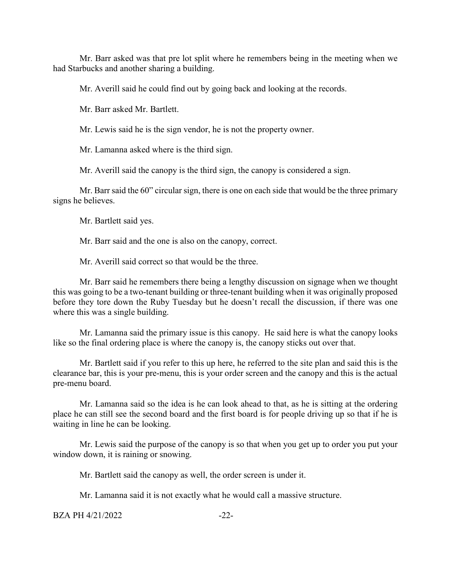Mr. Barr asked was that pre lot split where he remembers being in the meeting when we had Starbucks and another sharing a building.

Mr. Averill said he could find out by going back and looking at the records.

Mr. Barr asked Mr. Bartlett.

Mr. Lewis said he is the sign vendor, he is not the property owner.

Mr. Lamanna asked where is the third sign.

Mr. Averill said the canopy is the third sign, the canopy is considered a sign.

Mr. Barr said the 60" circular sign, there is one on each side that would be the three primary signs he believes.

Mr. Bartlett said yes.

Mr. Barr said and the one is also on the canopy, correct.

Mr. Averill said correct so that would be the three.

Mr. Barr said he remembers there being a lengthy discussion on signage when we thought this was going to be a two-tenant building or three-tenant building when it was originally proposed before they tore down the Ruby Tuesday but he doesn't recall the discussion, if there was one where this was a single building.

Mr. Lamanna said the primary issue is this canopy. He said here is what the canopy looks like so the final ordering place is where the canopy is, the canopy sticks out over that.

Mr. Bartlett said if you refer to this up here, he referred to the site plan and said this is the clearance bar, this is your pre-menu, this is your order screen and the canopy and this is the actual pre-menu board.

Mr. Lamanna said so the idea is he can look ahead to that, as he is sitting at the ordering place he can still see the second board and the first board is for people driving up so that if he is waiting in line he can be looking.

Mr. Lewis said the purpose of the canopy is so that when you get up to order you put your window down, it is raining or snowing.

Mr. Bartlett said the canopy as well, the order screen is under it.

Mr. Lamanna said it is not exactly what he would call a massive structure.

 $BZA PH 4/21/2022$   $-22$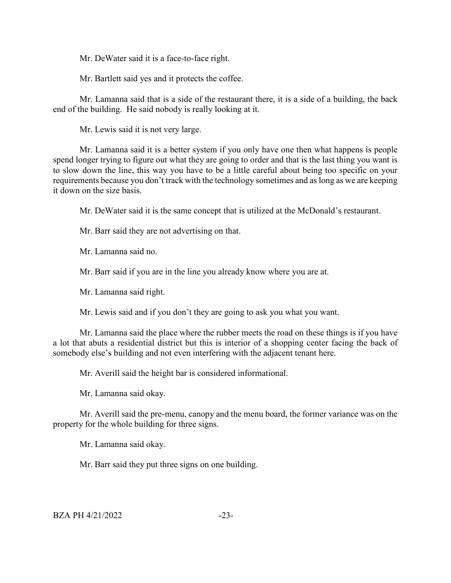Mr. DeWater said it is a face-to-face right.

Mr. Bartlett said yes and it protects the coffee.

Mr. Lamanna said that is a side of the restaurant there, it is a side of a building, the back end of the building. He said nobody is really looking at it.

Mr. Lewis said it is not very large.

Mr. Lamanna said it is a better system if you only have one then what happens is people spend longer trying to figure out what they are going to order and that is the last thing you want is to slow down the line, this way you have to be a little careful about being too specific on your requirements because you don't track with the technology sometimes and as long as we are keeping it down on the size basis.

Mr. DeWater said it is the same concept that is utilized at the McDonald's restaurant.

Mr. Barr said they are not advertising on that.

Mr. Lamanna said no.

Mr. Barr said if you are in the line you already know where you are at.

Mr. Lamanna said right.

Mr. Lewis said and if you don't they are going to ask you what you want.

Mr. Lamanna said the place where the rubber meets the road on these things is if you have a lot that abuts a residential district but this is interior of a shopping center facing the back of somebody else's building and not even interfering with the adjacent tenant here.

Mr. Averill said the height bar is considered informational.

Mr. Lamanna said okay.

Mr. Averill said the pre-menu, canopy and the menu board, the former variance was on the property for the whole building for three signs.

Mr. Lamanna said okay.

Mr. Barr said they put three signs on one building.

 $BZA PH 4/21/2022$   $-23-$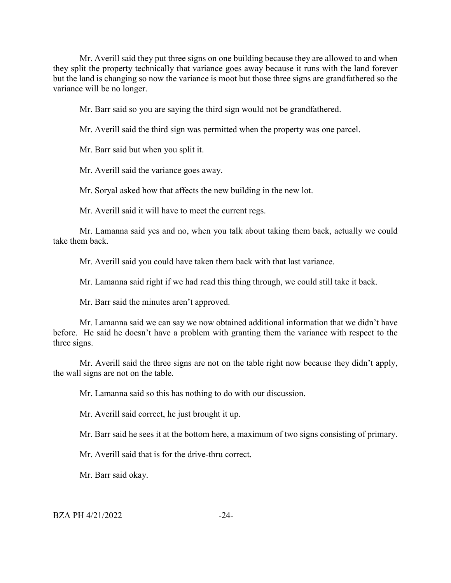Mr. Averill said they put three signs on one building because they are allowed to and when they split the property technically that variance goes away because it runs with the land forever but the land is changing so now the variance is moot but those three signs are grandfathered so the variance will be no longer.

Mr. Barr said so you are saying the third sign would not be grandfathered.

Mr. Averill said the third sign was permitted when the property was one parcel.

Mr. Barr said but when you split it.

Mr. Averill said the variance goes away.

Mr. Soryal asked how that affects the new building in the new lot.

Mr. Averill said it will have to meet the current regs.

Mr. Lamanna said yes and no, when you talk about taking them back, actually we could take them back.

Mr. Averill said you could have taken them back with that last variance.

Mr. Lamanna said right if we had read this thing through, we could still take it back.

Mr. Barr said the minutes aren't approved.

Mr. Lamanna said we can say we now obtained additional information that we didn't have before. He said he doesn't have a problem with granting them the variance with respect to the three signs.

Mr. Averill said the three signs are not on the table right now because they didn't apply, the wall signs are not on the table.

Mr. Lamanna said so this has nothing to do with our discussion.

Mr. Averill said correct, he just brought it up.

Mr. Barr said he sees it at the bottom here, a maximum of two signs consisting of primary.

Mr. Averill said that is for the drive-thru correct.

Mr. Barr said okay.

BZA PH 4/21/2022 -24-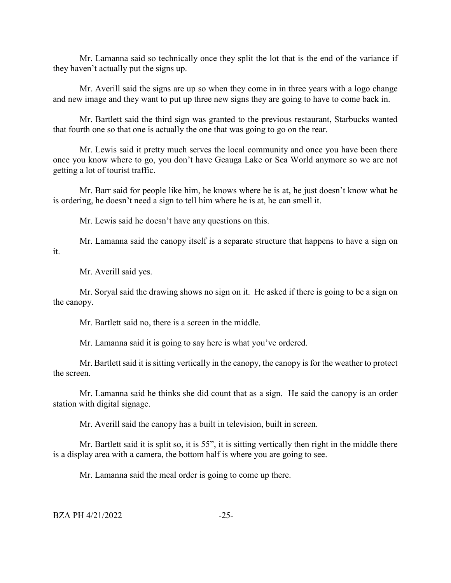Mr. Lamanna said so technically once they split the lot that is the end of the variance if they haven't actually put the signs up.

Mr. Averill said the signs are up so when they come in in three years with a logo change and new image and they want to put up three new signs they are going to have to come back in.

Mr. Bartlett said the third sign was granted to the previous restaurant, Starbucks wanted that fourth one so that one is actually the one that was going to go on the rear.

Mr. Lewis said it pretty much serves the local community and once you have been there once you know where to go, you don't have Geauga Lake or Sea World anymore so we are not getting a lot of tourist traffic.

Mr. Barr said for people like him, he knows where he is at, he just doesn't know what he is ordering, he doesn't need a sign to tell him where he is at, he can smell it.

Mr. Lewis said he doesn't have any questions on this.

Mr. Lamanna said the canopy itself is a separate structure that happens to have a sign on it.

Mr. Averill said yes.

Mr. Soryal said the drawing shows no sign on it. He asked if there is going to be a sign on the canopy.

Mr. Bartlett said no, there is a screen in the middle.

Mr. Lamanna said it is going to say here is what you've ordered.

Mr. Bartlett said it is sitting vertically in the canopy, the canopy is for the weather to protect the screen.

Mr. Lamanna said he thinks she did count that as a sign. He said the canopy is an order station with digital signage.

Mr. Averill said the canopy has a built in television, built in screen.

Mr. Bartlett said it is split so, it is 55", it is sitting vertically then right in the middle there is a display area with a camera, the bottom half is where you are going to see.

Mr. Lamanna said the meal order is going to come up there.

 $BZA PH 4/21/2022$   $-25-$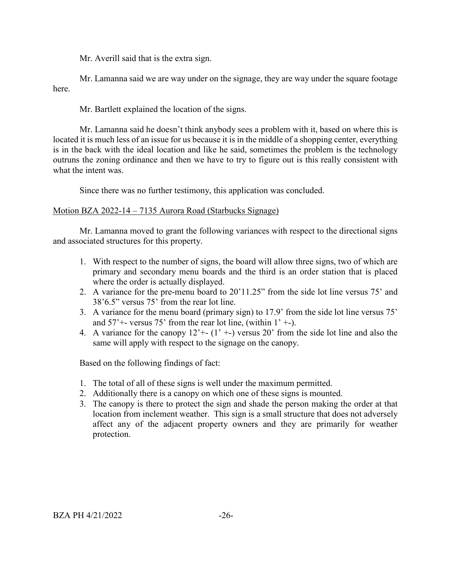Mr. Averill said that is the extra sign.

Mr. Lamanna said we are way under on the signage, they are way under the square footage here.

Mr. Bartlett explained the location of the signs.

Mr. Lamanna said he doesn't think anybody sees a problem with it, based on where this is located it is much less of an issue for us because it is in the middle of a shopping center, everything is in the back with the ideal location and like he said, sometimes the problem is the technology outruns the zoning ordinance and then we have to try to figure out is this really consistent with what the intent was.

Since there was no further testimony, this application was concluded.

# Motion BZA 2022-14 – 7135 Aurora Road (Starbucks Signage)

Mr. Lamanna moved to grant the following variances with respect to the directional signs and associated structures for this property.

- 1. With respect to the number of signs, the board will allow three signs, two of which are primary and secondary menu boards and the third is an order station that is placed where the order is actually displayed.
- 2. A variance for the pre-menu board to 20'11.25" from the side lot line versus 75' and 38'6.5" versus 75' from the rear lot line.
- 3. A variance for the menu board (primary sign) to 17.9' from the side lot line versus 75' and  $57'$ +- versus 75' from the rear lot line, (within  $1'$  +-).
- 4. A variance for the canopy  $12^+$   $(1^+$ - $)$  versus 20' from the side lot line and also the same will apply with respect to the signage on the canopy.

Based on the following findings of fact:

- 1. The total of all of these signs is well under the maximum permitted.
- 2. Additionally there is a canopy on which one of these signs is mounted.
- 3. The canopy is there to protect the sign and shade the person making the order at that location from inclement weather. This sign is a small structure that does not adversely affect any of the adjacent property owners and they are primarily for weather protection.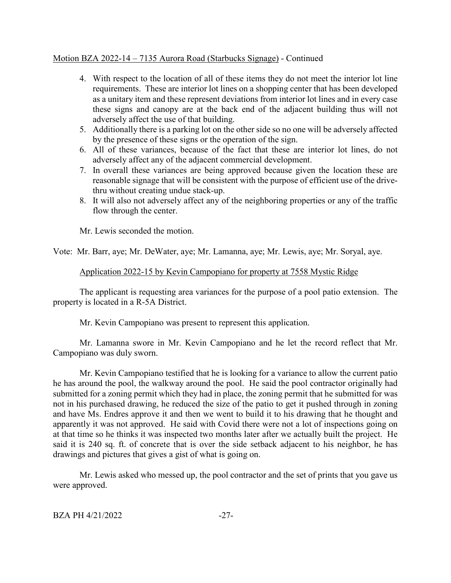## Motion BZA 2022-14 – 7135 Aurora Road (Starbucks Signage) - Continued

- 4. With respect to the location of all of these items they do not meet the interior lot line requirements. These are interior lot lines on a shopping center that has been developed as a unitary item and these represent deviations from interior lot lines and in every case these signs and canopy are at the back end of the adjacent building thus will not adversely affect the use of that building.
- 5. Additionally there is a parking lot on the other side so no one will be adversely affected by the presence of these signs or the operation of the sign.
- 6. All of these variances, because of the fact that these are interior lot lines, do not adversely affect any of the adjacent commercial development.
- 7. In overall these variances are being approved because given the location these are reasonable signage that will be consistent with the purpose of efficient use of the drivethru without creating undue stack-up.
- 8. It will also not adversely affect any of the neighboring properties or any of the traffic flow through the center.

Mr. Lewis seconded the motion.

Vote: Mr. Barr, aye; Mr. DeWater, aye; Mr. Lamanna, aye; Mr. Lewis, aye; Mr. Soryal, aye.

#### Application 2022-15 by Kevin Campopiano for property at 7558 Mystic Ridge

The applicant is requesting area variances for the purpose of a pool patio extension. The property is located in a R-5A District.

Mr. Kevin Campopiano was present to represent this application.

Mr. Lamanna swore in Mr. Kevin Campopiano and he let the record reflect that Mr. Campopiano was duly sworn.

Mr. Kevin Campopiano testified that he is looking for a variance to allow the current patio he has around the pool, the walkway around the pool. He said the pool contractor originally had submitted for a zoning permit which they had in place, the zoning permit that he submitted for was not in his purchased drawing, he reduced the size of the patio to get it pushed through in zoning and have Ms. Endres approve it and then we went to build it to his drawing that he thought and apparently it was not approved. He said with Covid there were not a lot of inspections going on at that time so he thinks it was inspected two months later after we actually built the project. He said it is 240 sq. ft. of concrete that is over the side setback adjacent to his neighbor, he has drawings and pictures that gives a gist of what is going on.

Mr. Lewis asked who messed up, the pool contractor and the set of prints that you gave us were approved.

```
BZA PH 4/21/2022 -27-
```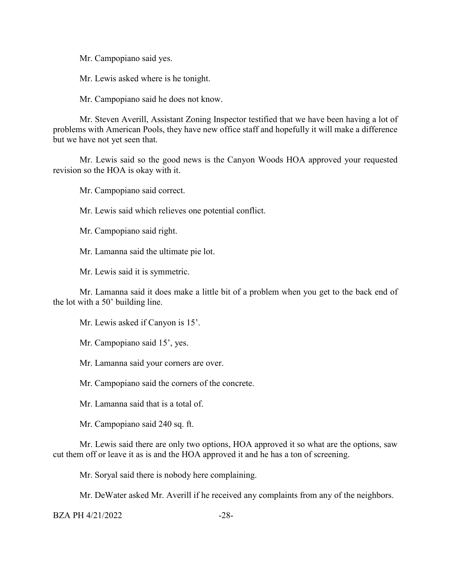Mr. Campopiano said yes.

Mr. Lewis asked where is he tonight.

Mr. Campopiano said he does not know.

Mr. Steven Averill, Assistant Zoning Inspector testified that we have been having a lot of problems with American Pools, they have new office staff and hopefully it will make a difference but we have not yet seen that.

Mr. Lewis said so the good news is the Canyon Woods HOA approved your requested revision so the HOA is okay with it.

Mr. Campopiano said correct.

Mr. Lewis said which relieves one potential conflict.

Mr. Campopiano said right.

Mr. Lamanna said the ultimate pie lot.

Mr. Lewis said it is symmetric.

Mr. Lamanna said it does make a little bit of a problem when you get to the back end of the lot with a 50' building line.

Mr. Lewis asked if Canyon is 15'.

Mr. Campopiano said 15', yes.

Mr. Lamanna said your corners are over.

Mr. Campopiano said the corners of the concrete.

Mr. Lamanna said that is a total of.

Mr. Campopiano said 240 sq. ft.

Mr. Lewis said there are only two options, HOA approved it so what are the options, saw cut them off or leave it as is and the HOA approved it and he has a ton of screening.

Mr. Soryal said there is nobody here complaining.

Mr. DeWater asked Mr. Averill if he received any complaints from any of the neighbors.

BZA PH 4/21/2022 -28-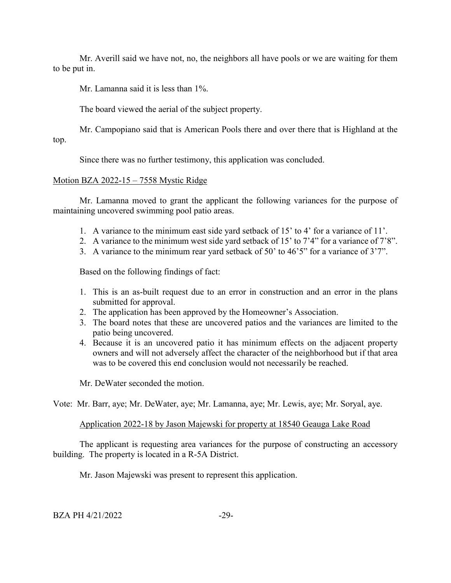Mr. Averill said we have not, no, the neighbors all have pools or we are waiting for them to be put in.

Mr. Lamanna said it is less than 1%.

The board viewed the aerial of the subject property.

Mr. Campopiano said that is American Pools there and over there that is Highland at the top.

Since there was no further testimony, this application was concluded.

# Motion BZA 2022-15 – 7558 Mystic Ridge

Mr. Lamanna moved to grant the applicant the following variances for the purpose of maintaining uncovered swimming pool patio areas.

- 1. A variance to the minimum east side yard setback of 15' to 4' for a variance of 11'.
- 2. A variance to the minimum west side yard setback of 15' to 7'4" for a variance of 7'8".
- 3. A variance to the minimum rear yard setback of 50' to 46'5" for a variance of 3'7".

Based on the following findings of fact:

- 1. This is an as-built request due to an error in construction and an error in the plans submitted for approval.
- 2. The application has been approved by the Homeowner's Association.
- 3. The board notes that these are uncovered patios and the variances are limited to the patio being uncovered.
- 4. Because it is an uncovered patio it has minimum effects on the adjacent property owners and will not adversely affect the character of the neighborhood but if that area was to be covered this end conclusion would not necessarily be reached.

Mr. DeWater seconded the motion.

Vote: Mr. Barr, aye; Mr. DeWater, aye; Mr. Lamanna, aye; Mr. Lewis, aye; Mr. Soryal, aye.

Application 2022-18 by Jason Majewski for property at 18540 Geauga Lake Road

The applicant is requesting area variances for the purpose of constructing an accessory building. The property is located in a R-5A District.

Mr. Jason Majewski was present to represent this application.

 $BZA PH 4/21/2022$   $-29-$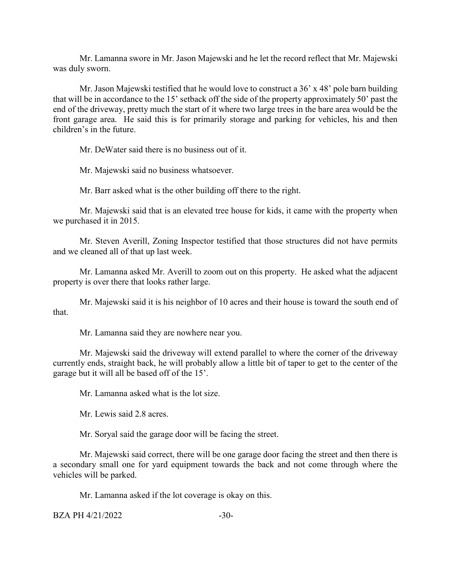Mr. Lamanna swore in Mr. Jason Majewski and he let the record reflect that Mr. Majewski was duly sworn.

Mr. Jason Majewski testified that he would love to construct a 36' x 48' pole barn building that will be in accordance to the 15' setback off the side of the property approximately 50' past the end of the driveway, pretty much the start of it where two large trees in the bare area would be the front garage area. He said this is for primarily storage and parking for vehicles, his and then children's in the future.

Mr. DeWater said there is no business out of it.

Mr. Majewski said no business whatsoever.

Mr. Barr asked what is the other building off there to the right.

Mr. Majewski said that is an elevated tree house for kids, it came with the property when we purchased it in 2015.

Mr. Steven Averill, Zoning Inspector testified that those structures did not have permits and we cleaned all of that up last week.

Mr. Lamanna asked Mr. Averill to zoom out on this property. He asked what the adjacent property is over there that looks rather large.

Mr. Majewski said it is his neighbor of 10 acres and their house is toward the south end of that.

Mr. Lamanna said they are nowhere near you.

Mr. Majewski said the driveway will extend parallel to where the corner of the driveway currently ends, straight back, he will probably allow a little bit of taper to get to the center of the garage but it will all be based off of the 15'.

Mr. Lamanna asked what is the lot size.

Mr. Lewis said 2.8 acres.

Mr. Soryal said the garage door will be facing the street.

Mr. Majewski said correct, there will be one garage door facing the street and then there is a secondary small one for yard equipment towards the back and not come through where the vehicles will be parked.

Mr. Lamanna asked if the lot coverage is okay on this.

 $BZA PH 4/21/2022$   $-30-$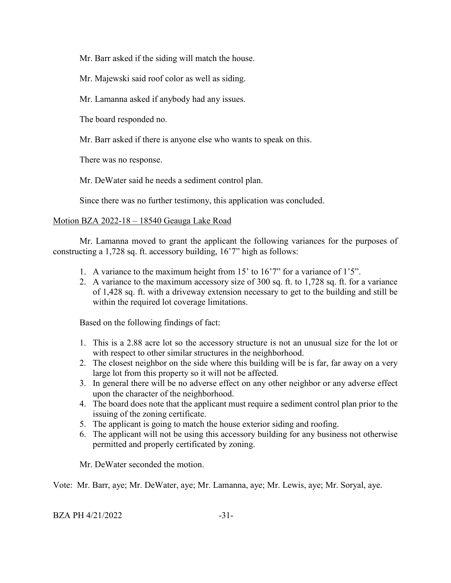Mr. Barr asked if the siding will match the house.

Mr. Majewski said roof color as well as siding.

Mr. Lamanna asked if anybody had any issues.

The board responded no.

Mr. Barr asked if there is anyone else who wants to speak on this.

There was no response.

Mr. DeWater said he needs a sediment control plan.

Since there was no further testimony, this application was concluded.

# Motion BZA 2022-18 – 18540 Geauga Lake Road

Mr. Lamanna moved to grant the applicant the following variances for the purposes of constructing a 1,728 sq. ft. accessory building, 16'7" high as follows:

- 1. A variance to the maximum height from 15' to 16'7" for a variance of 1'5".
- 2. A variance to the maximum accessory size of 300 sq. ft. to 1,728 sq. ft. for a variance of 1,428 sq. ft. with a driveway extension necessary to get to the building and still be within the required lot coverage limitations.

Based on the following findings of fact:

- 1. This is a 2.88 acre lot so the accessory structure is not an unusual size for the lot or with respect to other similar structures in the neighborhood.
- 2. The closest neighbor on the side where this building will be is far, far away on a very large lot from this property so it will not be affected.
- 3. In general there will be no adverse effect on any other neighbor or any adverse effect upon the character of the neighborhood.
- 4. The board does note that the applicant must require a sediment control plan prior to the issuing of the zoning certificate.
- 5. The applicant is going to match the house exterior siding and roofing.
- 6. The applicant will not be using this accessory building for any business not otherwise permitted and properly certificated by zoning.

Mr. DeWater seconded the motion.

Vote: Mr. Barr, aye; Mr. DeWater, aye; Mr. Lamanna, aye; Mr. Lewis, aye; Mr. Soryal, aye.

| BZA PH 4/21/2022 |  |
|------------------|--|
|------------------|--|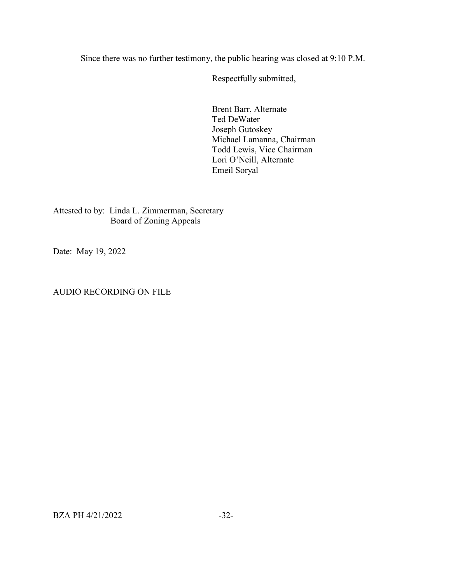Since there was no further testimony, the public hearing was closed at 9:10 P.M.

Respectfully submitted,

Brent Barr, Alternate Ted DeWater Joseph Gutoskey Michael Lamanna, Chairman Todd Lewis, Vice Chairman Lori O'Neill, Alternate Emeil Soryal

Attested to by: Linda L. Zimmerman, Secretary Board of Zoning Appeals

Date: May 19, 2022

## AUDIO RECORDING ON FILE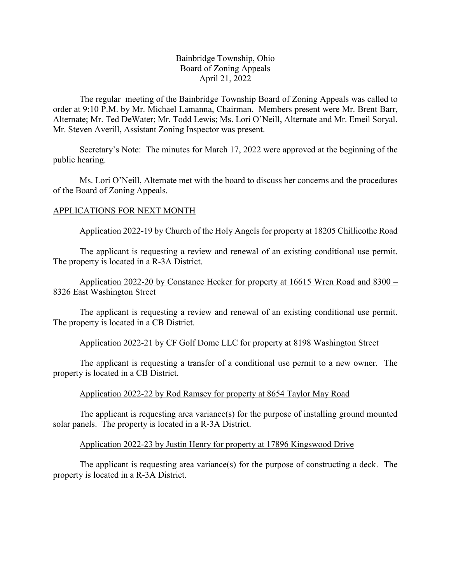## Bainbridge Township, Ohio Board of Zoning Appeals April 21, 2022

The regular meeting of the Bainbridge Township Board of Zoning Appeals was called to order at 9:10 P.M. by Mr. Michael Lamanna, Chairman. Members present were Mr. Brent Barr, Alternate; Mr. Ted DeWater; Mr. Todd Lewis; Ms. Lori O'Neill, Alternate and Mr. Emeil Soryal. Mr. Steven Averill, Assistant Zoning Inspector was present.

Secretary's Note: The minutes for March 17, 2022 were approved at the beginning of the public hearing.

Ms. Lori O'Neill, Alternate met with the board to discuss her concerns and the procedures of the Board of Zoning Appeals.

## APPLICATIONS FOR NEXT MONTH

## Application 2022-19 by Church of the Holy Angels for property at 18205 Chillicothe Road

The applicant is requesting a review and renewal of an existing conditional use permit. The property is located in a R-3A District.

# Application 2022-20 by Constance Hecker for property at 16615 Wren Road and 8300 – 8326 East Washington Street

The applicant is requesting a review and renewal of an existing conditional use permit. The property is located in a CB District.

## Application 2022-21 by CF Golf Dome LLC for property at 8198 Washington Street

The applicant is requesting a transfer of a conditional use permit to a new owner. The property is located in a CB District.

## Application 2022-22 by Rod Ramsey for property at 8654 Taylor May Road

The applicant is requesting area variance(s) for the purpose of installing ground mounted solar panels. The property is located in a R-3A District.

#### Application 2022-23 by Justin Henry for property at 17896 Kingswood Drive

The applicant is requesting area variance(s) for the purpose of constructing a deck. The property is located in a R-3A District.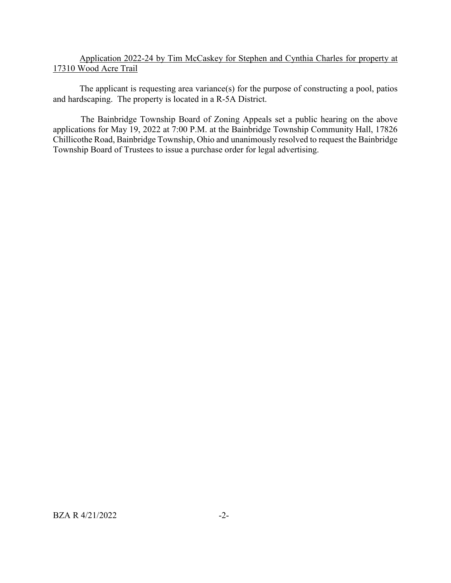# Application 2022-24 by Tim McCaskey for Stephen and Cynthia Charles for property at 17310 Wood Acre Trail

The applicant is requesting area variance(s) for the purpose of constructing a pool, patios and hardscaping. The property is located in a R-5A District.

The Bainbridge Township Board of Zoning Appeals set a public hearing on the above applications for May 19, 2022 at 7:00 P.M. at the Bainbridge Township Community Hall, 17826 Chillicothe Road, Bainbridge Township, Ohio and unanimously resolved to request the Bainbridge Township Board of Trustees to issue a purchase order for legal advertising.